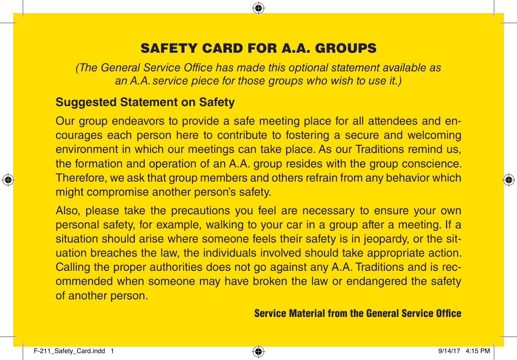## SAFETY CARD FOR A.A. GROUPS

*(The General Service Office has made this optional statement available as an A.A. service piece for those groups who wish to use it.)*

## **Suggested Statement on Safety**

Our group endeavors to provide a safe meeting place for all attendees and encourages each person here to contribute to fostering a secure and welcoming environment in which our meetings can take place. As our Traditions remind us, the formation and operation of an A.A. group resides with the group conscience. Therefore, we ask that group members and others refrain from any behavior which might compromise another person's safety.

Also, please take the precautions you feel are necessary to ensure your own personal safety, for example, walking to your car in a group after a meeting. If a situation should arise where someone feels their safety is in jeopardy, or the situation breaches the law, the individuals involved should take appropriate action. Calling the proper authorities does not go against any A.A. Traditions and is recommended when someone may have broken the law or endangered the safety of another person.

## Service Material from the General Service Office